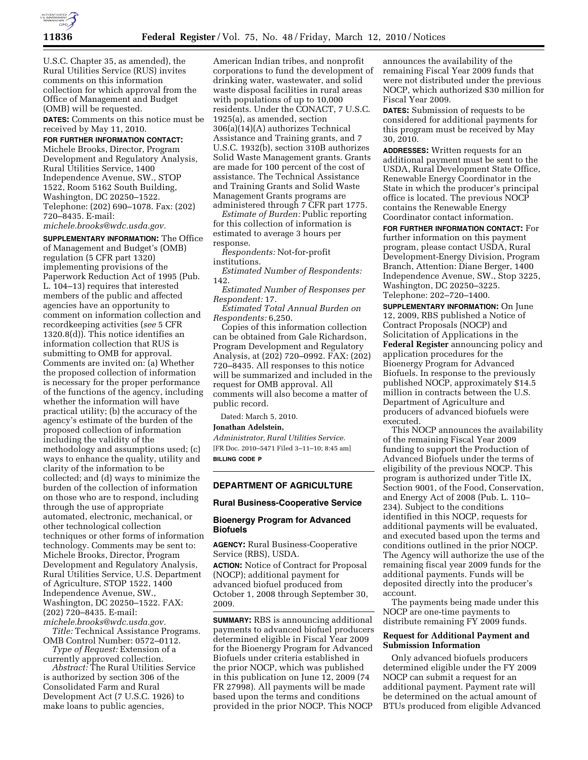

U.S.C. Chapter 35, as amended), the Rural Utilities Service (RUS) invites comments on this information collection for which approval from the Office of Management and Budget (OMB) will be requested.

**DATES:** Comments on this notice must be received by May 11, 2010.

# **FOR FURTHER INFORMATION CONTACT:**

Michele Brooks, Director, Program Development and Regulatory Analysis, Rural Utilities Service, 1400 Independence Avenue, SW., STOP 1522, Room 5162 South Building, Washington, DC 20250–1522. Telephone: (202) 690–1078. Fax: (202) 720–8435. E-mail:

*michele.brooks@wdc.usda.gov.* 

**SUPPLEMENTARY INFORMATION:** The Office of Management and Budget's (OMB) regulation (5 CFR part 1320) implementing provisions of the Paperwork Reduction Act of 1995 (Pub. L. 104–13) requires that interested members of the public and affected agencies have an opportunity to comment on information collection and recordkeeping activities (*see* 5 CFR 1320.8(d)). This notice identifies an information collection that RUS is submitting to OMB for approval. Comments are invited on: (a) Whether the proposed collection of information is necessary for the proper performance of the functions of the agency, including whether the information will have practical utility; (b) the accuracy of the agency's estimate of the burden of the proposed collection of information including the validity of the methodology and assumptions used; (c) ways to enhance the quality, utility and clarity of the information to be collected; and (d) ways to minimize the burden of the collection of information on those who are to respond, including through the use of appropriate automated, electronic, mechanical, or other technological collection techniques or other forms of information technology. Comments may be sent to: Michele Brooks, Director, Program Development and Regulatory Analysis, Rural Utilities Service, U.S. Department of Agriculture, STOP 1522, 1400 Independence Avenue, SW., Washington, DC 20250–1522. FAX: (202) 720–8435. E-mail:

*michele.brooks@wdc.usda.gov. Title:* Technical Assistance Programs. OMB Control Number: 0572–0112.

*Type of Request:* Extension of a currently approved collection.

*Abstract:* The Rural Utilities Service is authorized by section 306 of the Consolidated Farm and Rural Development Act (7 U.S.C. 1926) to make loans to public agencies,

American Indian tribes, and nonprofit corporations to fund the development of drinking water, wastewater, and solid waste disposal facilities in rural areas with populations of up to 10,000 residents. Under the CONACT, 7 U.S.C. 1925(a), as amended, section 306(a)(14)(A) authorizes Technical Assistance and Training grants, and 7 U.S.C. 1932(b), section 310B authorizes Solid Waste Management grants. Grants are made for 100 percent of the cost of assistance. The Technical Assistance and Training Grants and Solid Waste Management Grants programs are administered through 7 CFR part 1775.

*Estimate of Burden:* Public reporting for this collection of information is estimated to average 3 hours per response.

*Respondents:* Not-for-profit institutions.

*Estimated Number of Respondents:*  142.

*Estimated Number of Responses per Respondent:* 17.

*Estimated Total Annual Burden on Respondents:* 6,250.

Copies of this information collection can be obtained from Gale Richardson, Program Development and Regulatory Analysis, at (202) 720–0992. FAX: (202) 720–8435. All responses to this notice will be summarized and included in the request for OMB approval. All comments will also become a matter of public record.

Dated: March 5, 2010.

### **Jonathan Adelstein,**

*Administrator, Rural Utilities Service.*  [FR Doc. 2010–5471 Filed 3–11–10; 8:45 am] **BILLING CODE P** 

### **DEPARTMENT OF AGRICULTURE**

#### **Rural Business-Cooperative Service**

# **Bioenergy Program for Advanced Biofuels**

**AGENCY:** Rural Business-Cooperative Service (RBS), USDA.

**ACTION:** Notice of Contract for Proposal (NOCP); additional payment for advanced biofuel produced from October 1, 2008 through September 30, 2009.

**SUMMARY:** RBS is announcing additional payments to advanced biofuel producers determined eligible in Fiscal Year 2009 for the Bioenergy Program for Advanced Biofuels under criteria established in the prior NOCP, which was published in this publication on June 12, 2009 (74 FR 27998). All payments will be made based upon the terms and conditions provided in the prior NOCP. This NOCP

announces the availability of the remaining Fiscal Year 2009 funds that were not distributed under the previous NOCP, which authorized \$30 million for Fiscal Year 2009.

**DATES:** Submission of requests to be considered for additional payments for this program must be received by May 30, 2010.

**ADDRESSES:** Written requests for an additional payment must be sent to the USDA, Rural Development State Office, Renewable Energy Coordinator in the State in which the producer's principal office is located. The previous NOCP contains the Renewable Energy Coordinator contact information.

**FOR FURTHER INFORMATION CONTACT:** For further information on this payment program, please contact USDA, Rural Development-Energy Division, Program Branch, Attention: Diane Berger, 1400 Independence Avenue, SW., Stop 3225, Washington, DC 20250–3225. Telephone: 202–720–1400.

**SUPPLEMENTARY INFORMATION:** On June 12, 2009, RBS published a Notice of Contract Proposals (NOCP) and Solicitation of Applications in the **Federal Register** announcing policy and application procedures for the Bioenergy Program for Advanced Biofuels. In response to the previously published NOCP, approximately \$14.5 million in contracts between the U.S. Department of Agriculture and producers of advanced biofuels were executed.

This NOCP announces the availability of the remaining Fiscal Year 2009 funding to support the Production of Advanced Biofuels under the terms of eligibility of the previous NOCP. This program is authorized under Title IX, Section 9001, of the Food, Conservation, and Energy Act of 2008 (Pub. L. 110– 234). Subject to the conditions identified in this NOCP, requests for additional payments will be evaluated, and executed based upon the terms and conditions outlined in the prior NOCP. The Agency will authorize the use of the remaining fiscal year 2009 funds for the additional payments. Funds will be deposited directly into the producer's account.

The payments being made under this NOCP are one-time payments to distribute remaining FY 2009 funds.

### **Request for Additional Payment and Submission Information**

Only advanced biofuels producers determined eligible under the FY 2009 NOCP can submit a request for an additional payment. Payment rate will be determined on the actual amount of BTUs produced from eligible Advanced